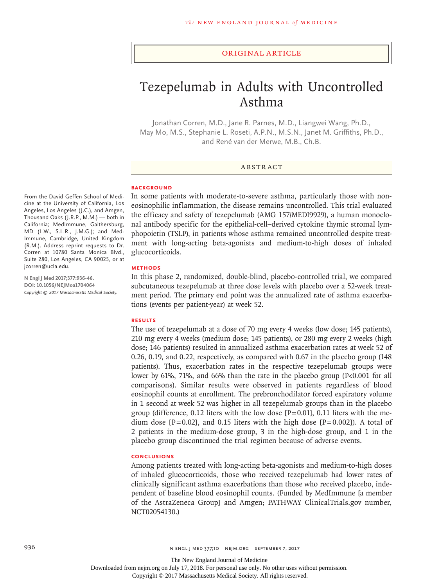## Original Article

# Tezepelumab in Adults with Uncontrolled Asthma

Jonathan Corren, M.D., Jane R. Parnes, M.D., Liangwei Wang, Ph.D., May Mo, M.S., Stephanie L. Roseti, A.P.N., M.S.N., Janet M. Griffiths, Ph.D., and René van der Merwe, M.B., Ch.B.

# ABSTRACT

#### **BACKGROUND**

In some patients with moderate-to-severe asthma, particularly those with noneosinophilic inflammation, the disease remains uncontrolled. This trial evaluated the efficacy and safety of tezepelumab (AMG 157/MEDI9929), a human monoclonal antibody specific for the epithelial-cell–derived cytokine thymic stromal lymphopoietin (TSLP), in patients whose asthma remained uncontrolled despite treatment with long-acting beta-agonists and medium-to-high doses of inhaled glucocorticoids.

## **METHODS**

In this phase 2, randomized, double-blind, placebo-controlled trial, we compared subcutaneous tezepelumab at three dose levels with placebo over a 52-week treatment period. The primary end point was the annualized rate of asthma exacerbations (events per patient-year) at week 52.

# **RESULTS**

The use of tezepelumab at a dose of 70 mg every 4 weeks (low dose; 145 patients), 210 mg every 4 weeks (medium dose; 145 patients), or 280 mg every 2 weeks (high dose; 146 patients) resulted in annualized asthma exacerbation rates at week 52 of 0.26, 0.19, and 0.22, respectively, as compared with 0.67 in the placebo group (148 patients). Thus, exacerbation rates in the respective tezepelumab groups were lower by 61%, 71%, and 66% than the rate in the placebo group (P<0.001 for all comparisons). Similar results were observed in patients regardless of blood eosinophil counts at enrollment. The prebronchodilator forced expiratory volume in 1 second at week 52 was higher in all tezepelumab groups than in the placebo group (difference, 0.12 liters with the low dose  $[P=0.01]$ , 0.11 liters with the medium dose  $[P=0.02]$ , and 0.15 liters with the high dose  $[P=0.002]$ ). A total of 2 patients in the medium-dose group, 3 in the high-dose group, and 1 in the placebo group discontinued the trial regimen because of adverse events.

## **CONCLUSIONS**

Among patients treated with long-acting beta-agonists and medium-to-high doses of inhaled glucocorticoids, those who received tezepelumab had lower rates of clinically significant asthma exacerbations than those who received placebo, independent of baseline blood eosinophil counts. (Funded by MedImmune [a member of the AstraZeneca Group] and Amgen; PATHWAY ClinicalTrials.gov number, NCT02054130.)

From the David Geffen School of Medicine at the University of California, Los Angeles, Los Angeles (J.C.), and Amgen, Thousand Oaks (J.R.P., M.M.) — both in California; MedImmune, Gaithersburg, MD (L.W., S.L.R., J.M.G.); and Med-Immune, Cambridge, United Kingdom (R.M.). Address reprint requests to Dr. Corren at 10780 Santa Monica Blvd., Suite 280, Los Angeles, CA 90025, or at jcorren@ucla.edu.

**N Engl J Med 2017;377:936-46. DOI: 10.1056/NEJMoa1704064** *Copyright © 2017 Massachusetts Medical Society.*

The New England Journal of Medicine

Downloaded from nejm.org on July 17, 2018. For personal use only. No other uses without permission.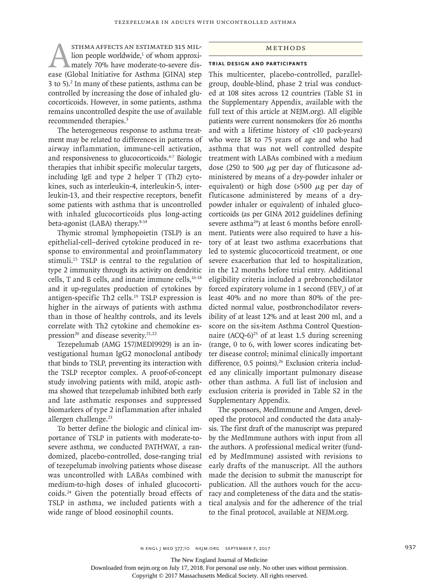STHMA AFFECTS AN ESTIMATED 315 MIL-<br>lion people worldwide,<sup>1</sup> of whom approxi-<br>ease (Global Initiative for Asthma [GINA] step lion people worldwide,<sup>1</sup> of whom approximately 70% have moderate-to-severe dis-3 to 5).2 In many of these patients, asthma can be controlled by increasing the dose of inhaled glucocorticoids. However, in some patients, asthma remains uncontrolled despite the use of available recommended therapies.3

The heterogeneous response to asthma treatment may be related to differences in patterns of airway inflammation, immune-cell activation, and responsiveness to glucocorticoids.4-7 Biologic therapies that inhibit specific molecular targets, including IgE and type 2 helper T (Th2) cytokines, such as interleukin-4, interleukin-5, interleukin-13, and their respective receptors, benefit some patients with asthma that is uncontrolled with inhaled glucocorticoids plus long-acting beta-agonist (LABA) therapy.8-14

Thymic stromal lymphopoietin (TSLP) is an epithelial-cell–derived cytokine produced in response to environmental and proinflammatory stimuli.<sup>15</sup> TSLP is central to the regulation of type 2 immunity through its activity on dendritic cells, T and B cells, and innate immune cells,<sup>16-18</sup> and it up-regulates production of cytokines by antigen-specific Th2 cells.19 TSLP expression is higher in the airways of patients with asthma than in those of healthy controls, and its levels correlate with Th2 cytokine and chemokine expression<sup>20</sup> and disease severity.<sup>21,22</sup>

Tezepelumab (AMG 157/MEDI9929) is an investigational human IgG2 monoclonal antibody that binds to TSLP, preventing its interaction with the TSLP receptor complex. A proof-of-concept study involving patients with mild, atopic asthma showed that tezepelumab inhibited both early and late asthmatic responses and suppressed biomarkers of type 2 inflammation after inhaled allergen challenge.<sup>23</sup>

To better define the biologic and clinical importance of TSLP in patients with moderate-tosevere asthma, we conducted PATHWAY, a randomized, placebo-controlled, dose-ranging trial of tezepelumab involving patients whose disease was uncontrolled with LABAs combined with medium-to-high doses of inhaled glucocorticoids.24 Given the potentially broad effects of TSLP in asthma, we included patients with a wide range of blood eosinophil counts.

## Methods

## **Trial Design and Participants**

This multicenter, placebo-controlled, parallelgroup, double-blind, phase 2 trial was conducted at 108 sites across 12 countries (Table S1 in the Supplementary Appendix, available with the full text of this article at NEJM.org). All eligible patients were current nonsmokers (for ≥6 months and with a lifetime history of <10 pack-years) who were 18 to 75 years of age and who had asthma that was not well controlled despite treatment with LABAs combined with a medium dose (250 to 500  $\mu$ g per day of fluticasone administered by means of a dry-powder inhaler or equivalent) or high dose ( $>500 \mu$ g per day of fluticasone administered by means of a drypowder inhaler or equivalent) of inhaled glucocorticoids (as per GINA 2012 guidelines defining severe asthma<sup>24</sup>) at least 6 months before enrollment. Patients were also required to have a history of at least two asthma exacerbations that led to systemic glucocorticoid treatment, or one severe exacerbation that led to hospitalization, in the 12 months before trial entry. Additional eligibility criteria included a prebronchodilator forced expiratory volume in 1 second  $(FEV_1)$  of at least 40% and no more than 80% of the predicted normal value, postbronchodilator reversibility of at least 12% and at least 200 ml, and a score on the six-item Asthma Control Questionnaire  $(ACQ-6)^{25}$  of at least 1.5 during screening (range, 0 to 6, with lower scores indicating better disease control; minimal clinically important difference, 0.5 points).<sup>26</sup> Exclusion criteria included any clinically important pulmonary disease other than asthma. A full list of inclusion and exclusion criteria is provided in Table S2 in the Supplementary Appendix.

The sponsors, MedImmune and Amgen, developed the protocol and conducted the data analysis. The first draft of the manuscript was prepared by the MedImmune authors with input from all the authors. A professional medical writer (funded by MedImmune) assisted with revisions to early drafts of the manuscript. All the authors made the decision to submit the manuscript for publication. All the authors vouch for the accuracy and completeness of the data and the statistical analysis and for the adherence of the trial to the final protocol, available at NEJM.org.

The New England Journal of Medicine

Downloaded from nejm.org on July 17, 2018. For personal use only. No other uses without permission.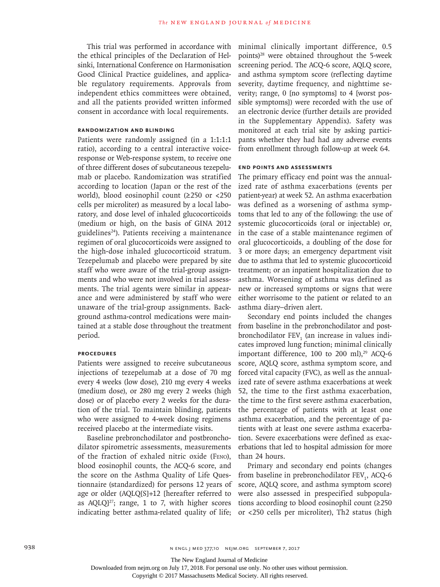This trial was performed in accordance with the ethical principles of the Declaration of Helsinki, International Conference on Harmonisation Good Clinical Practice guidelines, and applicable regulatory requirements. Approvals from independent ethics committees were obtained, and all the patients provided written informed consent in accordance with local requirements.

# **Randomization and Blinding**

Patients were randomly assigned (in a 1:1:1:1 ratio), according to a central interactive voiceresponse or Web-response system, to receive one of three different doses of subcutaneous tezepelumab or placebo. Randomization was stratified according to location (Japan or the rest of the world), blood eosinophil count (≥250 or <250 cells per microliter) as measured by a local laboratory, and dose level of inhaled glucocorticoids (medium or high, on the basis of GINA 2012 guidelines<sup>24</sup>). Patients receiving a maintenance regimen of oral glucocorticoids were assigned to the high-dose inhaled glucocorticoid stratum. Tezepelumab and placebo were prepared by site staff who were aware of the trial-group assignments and who were not involved in trial assessments. The trial agents were similar in appearance and were administered by staff who were unaware of the trial-group assignments. Background asthma-control medications were maintained at a stable dose throughout the treatment period.

### **Procedures**

Patients were assigned to receive subcutaneous injections of tezepelumab at a dose of 70 mg every 4 weeks (low dose), 210 mg every 4 weeks (medium dose), or 280 mg every 2 weeks (high dose) or of placebo every 2 weeks for the duration of the trial. To maintain blinding, patients who were assigned to 4-week dosing regimens received placebo at the intermediate visits.

Baseline prebronchodilator and postbronchodilator spirometric assessments, measurements of the fraction of exhaled nitric oxide (Feno), blood eosinophil counts, the ACQ-6 score, and the score on the Asthma Quality of Life Questionnaire (standardized) for persons 12 years of age or older (AQLQ[S]+12 [hereafter referred to as  $AQLQJ^{27}$ ; range, 1 to 7, with higher scores indicating better asthma-related quality of life; minimal clinically important difference, 0.5 points)28 were obtained throughout the 5-week screening period. The ACQ-6 score, AQLQ score, and asthma symptom score (reflecting daytime severity, daytime frequency, and nighttime severity; range, 0 [no symptoms] to 4 [worst possible symptoms]) were recorded with the use of an electronic device (further details are provided in the Supplementary Appendix). Safety was monitored at each trial site by asking participants whether they had had any adverse events from enrollment through follow-up at week 64.

# **End Points and Assessments**

The primary efficacy end point was the annualized rate of asthma exacerbations (events per patient-year) at week 52. An asthma exacerbation was defined as a worsening of asthma symptoms that led to any of the following: the use of systemic glucocorticoids (oral or injectable) or, in the case of a stable maintenance regimen of oral glucocorticoids, a doubling of the dose for 3 or more days; an emergency department visit due to asthma that led to systemic glucocorticoid treatment; or an inpatient hospitalization due to asthma. Worsening of asthma was defined as new or increased symptoms or signs that were either worrisome to the patient or related to an asthma diary–driven alert.

Secondary end points included the changes from baseline in the prebronchodilator and postbronchodilator  $FEV<sub>1</sub>$  (an increase in values indicates improved lung function; minimal clinically important difference,  $100$  to  $200$  ml),<sup>29</sup> ACQ-6 score, AQLQ score, asthma symptom score, and forced vital capacity (FVC), as well as the annualized rate of severe asthma exacerbations at week 52, the time to the first asthma exacerbation, the time to the first severe asthma exacerbation, the percentage of patients with at least one asthma exacerbation, and the percentage of patients with at least one severe asthma exacerbation. Severe exacerbations were defined as exacerbations that led to hospital admission for more than 24 hours.

Primary and secondary end points (changes from baseline in prebronchodilator FEV<sub>1</sub>, ACQ-6 score, AQLQ score, and asthma symptom score) were also assessed in prespecified subpopulations according to blood eosinophil count (≥250 or <250 cells per microliter), Th2 status (high

The New England Journal of Medicine

Downloaded from nejm.org on July 17, 2018. For personal use only. No other uses without permission.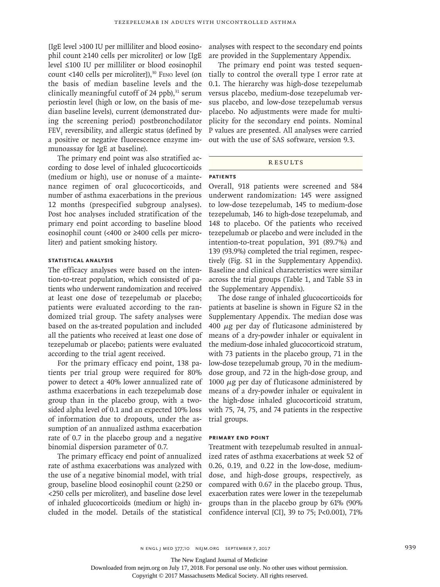[IgE level >100 IU per milliliter and blood eosinophil count ≥140 cells per microliter] or low [IgE level ≤100 IU per milliliter or blood eosinophil count <140 cells per microliter]), $30$  Feno level (on the basis of median baseline levels and the clinically meaningful cutoff of 24 ppb), $31$  serum periostin level (high or low, on the basis of median baseline levels), current (demonstrated during the screening period) postbronchodilator  ${\rm FEV}_1$  reversibility, and allergic status (defined by a positive or negative fluorescence enzyme immunoassay for IgE at baseline).

The primary end point was also stratified according to dose level of inhaled glucocorticoids (medium or high), use or nonuse of a maintenance regimen of oral glucocorticoids, and number of asthma exacerbations in the previous 12 months (prespecified subgroup analyses). Post hoc analyses included stratification of the primary end point according to baseline blood eosinophil count (<400 or ≥400 cells per microliter) and patient smoking history.

# **Statistical Analysis**

The efficacy analyses were based on the intention-to-treat population, which consisted of patients who underwent randomization and received at least one dose of tezepelumab or placebo; patients were evaluated according to the randomized trial group. The safety analyses were based on the as-treated population and included all the patients who received at least one dose of tezepelumab or placebo; patients were evaluated according to the trial agent received.

For the primary efficacy end point, 138 patients per trial group were required for 80% power to detect a 40% lower annualized rate of asthma exacerbations in each tezepelumab dose group than in the placebo group, with a twosided alpha level of 0.1 and an expected 10% loss of information due to dropouts, under the assumption of an annualized asthma exacerbation rate of 0.7 in the placebo group and a negative binomial dispersion parameter of 0.7.

The primary efficacy end point of annualized rate of asthma exacerbations was analyzed with the use of a negative binomial model, with trial group, baseline blood eosinophil count (≥250 or <250 cells per microliter), and baseline dose level of inhaled glucocorticoids (medium or high) included in the model. Details of the statistical analyses with respect to the secondary end points are provided in the Supplementary Appendix.

The primary end point was tested sequentially to control the overall type I error rate at 0.1. The hierarchy was high-dose tezepelumab versus placebo, medium-dose tezepelumab versus placebo, and low-dose tezepelumab versus placebo. No adjustments were made for multiplicity for the secondary end points. Nominal P values are presented. All analyses were carried out with the use of SAS software, version 9.3.

## **RESULTS**

# **Patients**

Overall, 918 patients were screened and 584 underwent randomization: 145 were assigned to low-dose tezepelumab, 145 to medium-dose tezepelumab, 146 to high-dose tezepelumab, and 148 to placebo. Of the patients who received tezepelumab or placebo and were included in the intention-to-treat population, 391 (89.7%) and 139 (93.9%) completed the trial regimen, respectively (Fig. S1 in the Supplementary Appendix). Baseline and clinical characteristics were similar across the trial groups (Table 1, and Table S3 in the Supplementary Appendix).

The dose range of inhaled glucocorticoids for patients at baseline is shown in Figure S2 in the Supplementary Appendix. The median dose was 400  $\mu$ g per day of fluticasone administered by means of a dry-powder inhaler or equivalent in the medium-dose inhaled glucocorticoid stratum, with 73 patients in the placebo group, 71 in the low-dose tezepelumab group, 70 in the mediumdose group, and 72 in the high-dose group, and 1000  $\mu$ g per day of fluticasone administered by means of a dry-powder inhaler or equivalent in the high-dose inhaled glucocorticoid stratum, with 75, 74, 75, and 74 patients in the respective trial groups.

## **Primary End Point**

Treatment with tezepelumab resulted in annualized rates of asthma exacerbations at week 52 of 0.26, 0.19, and 0.22 in the low-dose, mediumdose, and high-dose groups, respectively, as compared with 0.67 in the placebo group. Thus, exacerbation rates were lower in the tezepelumab groups than in the placebo group by 61% (90% confidence interval [CI], 39 to 75; P<0.001), 71%

The New England Journal of Medicine

Downloaded from nejm.org on July 17, 2018. For personal use only. No other uses without permission.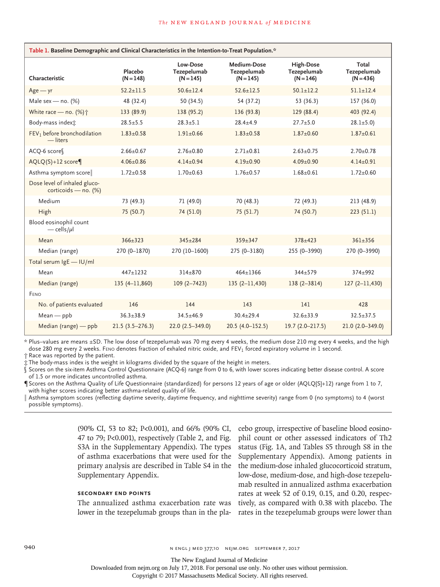| Table 1. Baseline Demographic and Clinical Characteristics in the Intention-to-Treat Population.* |                        |                                        |                                           |                                         |                                     |
|---------------------------------------------------------------------------------------------------|------------------------|----------------------------------------|-------------------------------------------|-----------------------------------------|-------------------------------------|
| Characteristic                                                                                    | Placebo<br>$(N = 148)$ | Low-Dose<br>Tezepelumab<br>$(N = 145)$ | Medium-Dose<br>Tezepelumab<br>$(N = 145)$ | High-Dose<br>Tezepelumab<br>$(N = 146)$ | Total<br>Tezepelumab<br>$(N = 436)$ |
| $Age - yr$                                                                                        | $52.2 \pm 11.5$        | $50.6 + 12.4$                          | $52.6 + 12.5$                             | $50.1 + 12.2$                           | $51.1 \pm 12.4$                     |
| Male sex - no. $(%)$                                                                              | 48 (32.4)              | 50 (34.5)                              | 54 (37.2)                                 | 53 (36.3)                               | 157 (36.0)                          |
| White race - no. (%) <sup>+</sup>                                                                 | 133 (89.9)             | 138 (95.2)                             | 136 (93.8)                                | 129 (88.4)                              | 403 (92.4)                          |
| Body-mass index:                                                                                  | $28.5 \pm 5.5$         | $28.3 \pm 5.1$                         | $28.4 \pm 4.9$                            | $27.7 \pm 5.0$                          | $28.1 \pm 5.0$                      |
| FEV <sub>1</sub> before bronchodilation<br>$-$ liters                                             | $1.83 \pm 0.58$        | $1.91 \pm 0.66$                        | $1.83 \pm 0.58$                           | $1.87 \pm 0.60$                         | $1.87 \pm 0.61$                     |
| ACQ-6 score                                                                                       | $2.66 \pm 0.67$        | $2.76 \pm 0.80$                        | $2.71 \pm 0.81$                           | $2.63 \pm 0.75$                         | $2.70 \pm 0.78$                     |
| $AQLQ(S) + 12$ score                                                                              | $4.06 \pm 0.86$        | $4.14 \pm 0.94$                        | $4.19 \pm 0.90$                           | $4.09 \pm 0.90$                         | $4.14 \pm 0.91$                     |
| Asthma symptom score                                                                              | $1.72 \pm 0.58$        | $1.70 \pm 0.63$                        | $1.76 \pm 0.57$                           | $1.68 \pm 0.61$                         | $1.72 \pm 0.60$                     |
| Dose level of inhaled gluco-<br>corticoids - no. (%)                                              |                        |                                        |                                           |                                         |                                     |
| Medium                                                                                            | 73 (49.3)              | 71 (49.0)                              | 70 (48.3)                                 | 72 (49.3)                               | 213 (48.9)                          |
| High                                                                                              | 75 (50.7)              | 74 (51.0)                              | 75(51.7)                                  | 74 (50.7)                               | 223(51.1)                           |
| Blood eosinophil count<br>$-\frac{\text{cells}}{\mu}$                                             |                        |                                        |                                           |                                         |                                     |
| Mean                                                                                              | $366 + 323$            | $345 + 284$                            | $359 \pm 347$                             | $378 + 423$                             | $361 + 356$                         |
| Median (range)                                                                                    | 270 (0-1870)           | 270 (10-1600)                          | 275 (0-3180)                              | 255 (0-3990)                            | 270 (0-3990)                        |
| Total serum IgE - IU/ml                                                                           |                        |                                        |                                           |                                         |                                     |
| Mean                                                                                              | $447 + 1232$           | $314 + 870$                            | $464 + 1366$                              | $344 + 579$                             | $374 + 992$                         |
| Median (range)                                                                                    | $135(4 - 11,860)$      | $109(2 - 7423)$                        | 135(2–11,430)                             | $138(2 - 3814)$                         | 127(2–11,430)                       |
| FENO                                                                                              |                        |                                        |                                           |                                         |                                     |
| No. of patients evaluated                                                                         | 146                    | 144                                    | 143                                       | 141                                     | 428                                 |
| $Mean - ppb$                                                                                      | $36.3 \pm 38.9$        | $34.5 \pm 46.9$                        | $30.4 \pm 29.4$                           | $32.6 \pm 33.9$                         | $32.5 \pm 37.5$                     |
| Median (range) — ppb                                                                              | $21.5(3.5-276.3)$      | $22.0(2.5 - 349.0)$                    | $20.5(4.0 - 152.5)$                       | $19.7(2.0 - 217.5)$                     | $21.0(2.0 - 349.0)$                 |

\* Plus–values are means ±SD. The low dose of tezepelumab was 70 mg every 4 weeks, the medium dose 210 mg every 4 weeks, and the high dose 280 mg every 2 weeks. Feno denotes fraction of exhaled nitric oxide, and FEV<sub>1</sub> forced expiratory volume in 1 second.

† Race was reported by the patient.

‡ The body-mass index is the weight in kilograms divided by the square of the height in meters.

§ Scores on the six-item Asthma Control Questionnaire (ACQ-6) range from 0 to 6, with lower scores indicating better disease control. A score of 1.5 or more indicates uncontrolled asthma.

¶ Scores on the Asthma Quality of Life Questionnaire (standardized) for persons 12 years of age or older (AQLQ[S]+12) range from 1 to 7, with higher scores indicating better asthma-related quality of life.

Asthma symptom scores (reflecting daytime severity, daytime frequency, and nighttime severity) range from 0 (no symptoms) to 4 (worst possible symptoms).

> (90% CI, 53 to 82; P<0.001), and 66% (90% CI, 47 to 79; P<0.001), respectively (Table 2, and Fig. S3A in the Supplementary Appendix). The types of asthma exacerbations that were used for the primary analysis are described in Table S4 in the Supplementary Appendix.

# **Secondary End Points**

The annualized asthma exacerbation rate was lower in the tezepelumab groups than in the pla-

cebo group, irrespective of baseline blood eosinophil count or other assessed indicators of Th2 status (Fig. 1A, and Tables S5 through S8 in the Supplementary Appendix). Among patients in the medium-dose inhaled glucocorticoid stratum, low-dose, medium-dose, and high-dose tezepelumab resulted in annualized asthma exacerbation rates at week 52 of 0.19, 0.15, and 0.20, respectively, as compared with 0.38 with placebo. The rates in the tezepelumab groups were lower than

940 940 **n ENGL J MED 377;10 NEJM.ORG SEPTEMBER 7, 2017** 

Downloaded from nejm.org on July 17, 2018. For personal use only. No other uses without permission.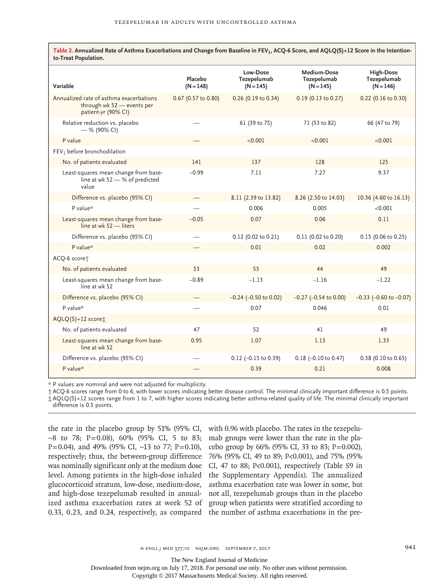| Table 2. Annualized Rate of Asthma Exacerbations and Change from Baseline in $FEV_1$ , ACQ-6 Score, and AQLQ(S)+12 Score in the Intention-<br>to-Treat Population. |                        |                                        |                                           |                                         |
|--------------------------------------------------------------------------------------------------------------------------------------------------------------------|------------------------|----------------------------------------|-------------------------------------------|-----------------------------------------|
| Variable                                                                                                                                                           | Placebo<br>$(N = 148)$ | Low-Dose<br>Tezepelumab<br>$(N = 145)$ | Medium-Dose<br>Tezepelumab<br>$(N = 145)$ | High-Dose<br>Tezepelumab<br>$(N = 146)$ |
| Annualized rate of asthma exacerbations<br>through wk 52 - events per<br>patient-yr (90% CI)                                                                       | 0.67 (0.57 to 0.80)    | $0.26$ (0.19 to 0.34)                  | $0.19$ (0.13 to 0.27)                     | 0.22 (0.16 to 0.30)                     |
| Relative reduction vs. placebo<br>$-$ % (90% CI)                                                                                                                   |                        | 61 (39 to 75)                          | 71 (53 to 82)                             | 66 (47 to 79)                           |
| P value                                                                                                                                                            |                        | < 0.001                                | < 0.001                                   | < 0.001                                 |
| FEV <sub>1</sub> before bronchodilation                                                                                                                            |                        |                                        |                                           |                                         |
| No. of patients evaluated                                                                                                                                          | 141                    | 137                                    | 128                                       | 125                                     |
| Least-squares mean change from base-<br>line at wk $52 - $ % of predicted<br>value                                                                                 | $-0.99$                | 7.11                                   | 7.27                                      | 9.37                                    |
| Difference vs. placebo (95% CI)                                                                                                                                    |                        | 8.11 (2.39 to 13.82)                   | 8.26 (2.50 to 14.03)                      | 10.36 (4.60 to 16.13)                   |
| P value*                                                                                                                                                           |                        | 0.006                                  | 0.005                                     | < 0.001                                 |
| Least-squares mean change from base-<br>line at wk 52 - liters                                                                                                     | $-0.05$                | 0.07                                   | 0.06                                      | 0.11                                    |
| Difference vs. placebo (95% CI)                                                                                                                                    |                        | 0.12 (0.02 to 0.21)                    | 0.11 (0.02 to 0.20)                       | $0.15$ (0.06 to 0.25)                   |
| P value*                                                                                                                                                           |                        | 0.01                                   | 0.02                                      | 0.002                                   |
| ACQ-6 score <sup>+</sup>                                                                                                                                           |                        |                                        |                                           |                                         |
| No. of patients evaluated                                                                                                                                          | 53                     | 53                                     | 44                                        | 49                                      |
| Least-squares mean change from base-                                                                                                                               | $-0.89$                | $-1.13$                                | $-1.16$                                   | $-1.22$                                 |

\* P values are nominal and were not adjusted for multiplicity.

Least-squares mean change from base-

line at wk 52

line at wk 52

AQLQ(S)+12 score‡

† ACQ-6 scores range from 0 to 6, with lower scores indicating better disease control. The minimal clinically important difference is 0.5 points. ‡ AQLQ(S)+12 scores range from 1 to 7, with higher scores indicating better asthma-related quality of life. The minimal clinically important difference is 0.5 points.

Difference vs. placebo (95% CI) — 0.12 (−0.15 to 0.39) 0.18 (−0.10 to 0.47) 0.38 (0.10 to 0.65) P value\* — 0.39 0.21 0.008

Difference vs. placebo (95% CI) — −0.24 (−0.50 to 0.02) −0.27 (−0.54 to 0.00) −0.33 (−0.60 to −0.07)

P value\* — 0.07 0.046 0.01

No. of patients evaluated 47 52 41 49

the rate in the placebo group by 51% (95% CI, −8 to 78; P=0.08), 60% (95% CI, 5 to 83; P=0.04), and 49% (95% CI, −13 to 77; P=0.10), respectively; thus, the between-group difference was nominally significant only at the medium dose level. Among patients in the high-dose inhaled the Supplementary Appendix). The annualized glucocorticoid stratum, low-dose, medium-dose, and high-dose tezepelumab resulted in annualized asthma exacerbation rates at week 52 of group when patients were stratified according to 0.33, 0.23, and 0.24, respectively, as compared the number of asthma exacerbations in the pre-

with 0.96 with placebo. The rates in the tezepelumab groups were lower than the rate in the placebo group by 66% (95% CI, 33 to 83; P=0.002), 76% (95% CI, 49 to 89; P<0.001), and 75% (95% CI, 47 to 88; P<0.001), respectively (Table S9 in asthma exacerbation rate was lower in some, but not all, tezepelumab groups than in the placebo

0.95 1.07 1.13 1.33

The New England Journal of Medicine

Downloaded from nejm.org on July 17, 2018. For personal use only. No other uses without permission.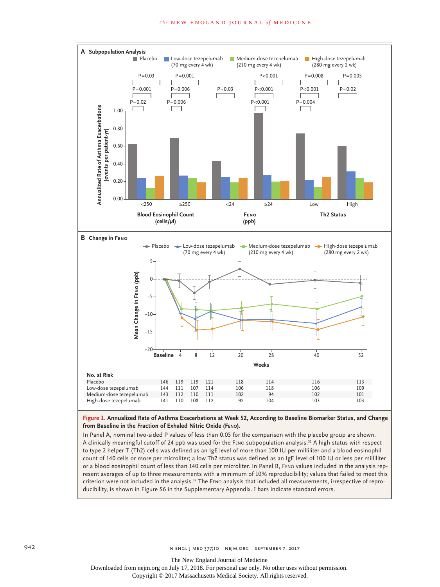#### **The NEW ENGLAND JOURNAL of MEDICINE**



**Figure 1. Annualized Rate of Asthma Exacerbations at Week 52, According to Baseline Biomarker Status, and Change from Baseline in the Fraction of Exhaled Nitric Oxide (Feno).**

In Panel A, nominal two-sided P values of less than 0.05 for the comparison with the placebo group are shown. A clinically meaningful cutoff of 24 ppb was used for the Feno subpopulation analysis.31 A high status with respect to type 2 helper T (Th2) cells was defined as an IgE level of more than 100 IU per milliliter and a blood eosinophil count of 140 cells or more per microliter; a low Th2 status was defined as an IgE level of 100 IU or less per milliliter or a blood eosinophil count of less than 140 cells per microliter. In Panel B, Feno values included in the analysis represent averages of up to three measurements with a minimum of 10% reproducibility; values that failed to meet this criterion were not included in the analysis.32 The Feno analysis that included all measurements, irrespective of reproducibility, is shown in Figure S6 in the Supplementary Appendix. I bars indicate standard errors.

942 **n ENGL j MED 377;10 NEJM.ORG SEPTEMBER 7, 2017** 

The New England Journal of Medicine

Downloaded from nejm.org on July 17, 2018. For personal use only. No other uses without permission.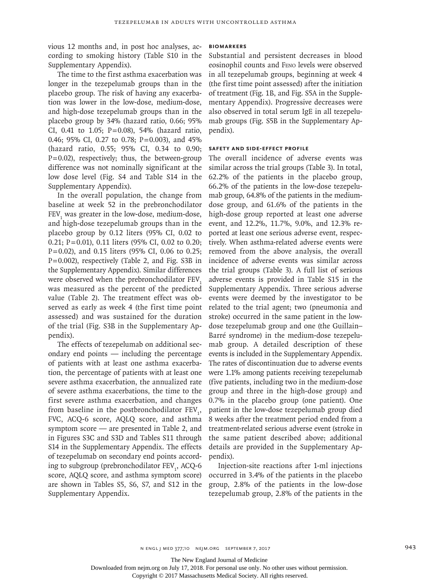vious 12 months and, in post hoc analyses, according to smoking history (Table S10 in the Supplementary Appendix).

The time to the first asthma exacerbation was longer in the tezepelumab groups than in the placebo group. The risk of having any exacerbation was lower in the low-dose, medium-dose, and high-dose tezepelumab groups than in the placebo group by 34% (hazard ratio, 0.66; 95% CI, 0.41 to 1.05; P=0.08), 54% (hazard ratio, 0.46; 95% CI, 0.27 to 0.78; P=0.003), and 45% (hazard ratio, 0.55; 95% CI, 0.34 to 0.90;  $P=0.02$ ), respectively; thus, the between-group difference was not nominally significant at the low dose level (Fig. S4 and Table S14 in the Supplementary Appendix).

In the overall population, the change from baseline at week 52 in the prebronchodilator  $FEV<sub>1</sub>$  was greater in the low-dose, medium-dose, and high-dose tezepelumab groups than in the placebo group by 0.12 liters (95% CI, 0.02 to 0.21; P=0.01), 0.11 liters (95% CI, 0.02 to 0.20;  $P=0.02$ ), and 0.15 liters (95% CI, 0.06 to 0.25; P=0.002), respectively (Table 2, and Fig. S3B in the Supplementary Appendix). Similar differences were observed when the prebronchodilator FEV. was measured as the percent of the predicted value (Table 2). The treatment effect was observed as early as week 4 (the first time point assessed) and was sustained for the duration of the trial (Fig. S3B in the Supplementary Appendix).

The effects of tezepelumab on additional secondary end points — including the percentage of patients with at least one asthma exacerbation, the percentage of patients with at least one severe asthma exacerbation, the annualized rate of severe asthma exacerbations, the time to the first severe asthma exacerbation, and changes from baseline in the postbronchodilator  $FEV_1$ , FVC, ACQ-6 score, AQLQ score, and asthma symptom score — are presented in Table 2, and in Figures S3C and S3D and Tables S11 through S14 in the Supplementary Appendix. The effects of tezepelumab on secondary end points according to subgroup (prebronchodilator FEV<sub>1</sub>, ACQ-6 score, AQLQ score, and asthma symptom score) are shown in Tables S5, S6, S7, and S12 in the Supplementary Appendix.

## **Biomarkers**

Substantial and persistent decreases in blood eosinophil counts and Feno levels were observed in all tezepelumab groups, beginning at week 4 (the first time point assessed) after the initiation of treatment (Fig. 1B, and Fig. S5A in the Supplementary Appendix). Progressive decreases were also observed in total serum IgE in all tezepelumab groups (Fig. S5B in the Supplementary Appendix).

# **Safety and Side-Effect Profile**

The overall incidence of adverse events was similar across the trial groups (Table 3). In total, 62.2% of the patients in the placebo group, 66.2% of the patients in the low-dose tezepelumab group, 64.8% of the patients in the mediumdose group, and 61.6% of the patients in the high-dose group reported at least one adverse event, and 12.2%, 11.7%, 9.0%, and 12.3% reported at least one serious adverse event, respectively. When asthma-related adverse events were removed from the above analysis, the overall incidence of adverse events was similar across the trial groups (Table 3). A full list of serious adverse events is provided in Table S15 in the Supplementary Appendix. Three serious adverse events were deemed by the investigator to be related to the trial agent; two (pneumonia and stroke) occurred in the same patient in the lowdose tezepelumab group and one (the Guillain– Barré syndrome) in the medium-dose tezepelumab group. A detailed description of these events is included in the Supplementary Appendix. The rates of discontinuation due to adverse events were 1.1% among patients receiving tezepelumab (five patients, including two in the medium-dose group and three in the high-dose group) and 0.7% in the placebo group (one patient). One patient in the low-dose tezepelumab group died 8 weeks after the treatment period ended from a treatment-related serious adverse event (stroke in the same patient described above; additional details are provided in the Supplementary Appendix).

Injection-site reactions after 1-ml injections occurred in 3.4% of the patients in the placebo group, 2.8% of the patients in the low-dose tezepelumab group, 2.8% of the patients in the

The New England Journal of Medicine

Downloaded from nejm.org on July 17, 2018. For personal use only. No other uses without permission.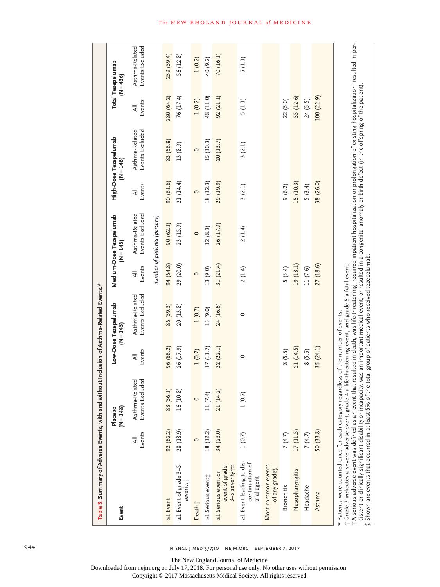| Table 3. Summary of Adverse Events, with and without Inclusion of Asthma-Related Events.*                                                                                                                                                                                                                                                                                                                                                                                                                                                                                                                                                 |                                     |                                   |                    |                                                      |                    |                                        |                    |                                      |                    |                                         |
|-------------------------------------------------------------------------------------------------------------------------------------------------------------------------------------------------------------------------------------------------------------------------------------------------------------------------------------------------------------------------------------------------------------------------------------------------------------------------------------------------------------------------------------------------------------------------------------------------------------------------------------------|-------------------------------------|-----------------------------------|--------------------|------------------------------------------------------|--------------------|----------------------------------------|--------------------|--------------------------------------|--------------------|-----------------------------------------|
| Event                                                                                                                                                                                                                                                                                                                                                                                                                                                                                                                                                                                                                                     |                                     | $(N = 148)$<br>Placebo            |                    | Low-Dose Tezepelumab<br>$(N = 145)$                  |                    | Medium-Dose Tezepelumab<br>$(N = 145)$ |                    | High-Dose Tezepelumab<br>$(N = 146)$ |                    | <b>Total Tezepelumab</b><br>$(N = 436)$ |
|                                                                                                                                                                                                                                                                                                                                                                                                                                                                                                                                                                                                                                           | Events<br>$\overline{\overline{A}}$ | Events Excluded<br>Asthma-Related | Events<br>$\equiv$ | Events Excluded<br>Asthma-Related                    | Events<br>$\equiv$ | Asthma-Related<br>Events Excluded      | Events<br>$\equiv$ | Asthma-Related<br>Events Excluded    | Events<br>$\equiv$ | Asthma-Related<br>Events Excluded       |
|                                                                                                                                                                                                                                                                                                                                                                                                                                                                                                                                                                                                                                           |                                     |                                   |                    |                                                      |                    | number of patients (percent)           |                    |                                      |                    |                                         |
| $\geq$ 1 Event                                                                                                                                                                                                                                                                                                                                                                                                                                                                                                                                                                                                                            | 92(62.2)                            | 83 (56.1)                         | 96 (66.2)          | 86 (59.3)                                            | 94 (64.8)          | 90(62.1)                               | 90(61.6)           | 83 (56.8)                            | 280 (64.2)         | 259 (59.4)                              |
| >1 Event of grade 3-5<br>severityj                                                                                                                                                                                                                                                                                                                                                                                                                                                                                                                                                                                                        | 28 (18.9)                           | 16 (10.8)                         | 26 (17.9)          | 20(13.8)                                             | 29 (20.0)          | 23 (15.9)                              | 21 (14.4)          | 13 (8.9)                             | 76 (17.4)          | 56 (12.8)                               |
| Death†                                                                                                                                                                                                                                                                                                                                                                                                                                                                                                                                                                                                                                    | $\circ$                             | $\circ$                           | 1(0.7)             | 1(0.7)                                               | $\circ$            | $\circ$                                | $\circ$            | $\circ$                              | 1(0.2)             | 1(0.2)                                  |
| >1 Serious event;                                                                                                                                                                                                                                                                                                                                                                                                                                                                                                                                                                                                                         | 18 (12.2)                           | 11(7.4)                           | 17(11.7)           | 13 (9.0)                                             | 13 (9.0)           | 12(8.3)                                | 18 (12.3)          | 15 (10.3)                            | 48 (11.0)          | 40 (9.2)                                |
| 3-5 severity†‡<br>event of grade<br>≥1 Serious event or                                                                                                                                                                                                                                                                                                                                                                                                                                                                                                                                                                                   | 34 (23.0)                           | 21 (14.2)                         | 32 (22.1)          | 24 (16.6)                                            | 31 $(21.4)$        | 26 (17.9)                              | 29 (19.9)          | 20(13.7)                             | 92(21.1)           | 70 (16.1)                               |
| >1 Event leading to dis-<br>continuation of<br>trial agent                                                                                                                                                                                                                                                                                                                                                                                                                                                                                                                                                                                | 1(0.7)                              | 1(0.7)                            | 0                  | $\circ$                                              | 2(1.4)             | 2(1.4)                                 | 3(2.1)             | 3(2.1)                               | 5(1.1)             | 5(1.1)                                  |
| Most common events<br>of any grades                                                                                                                                                                                                                                                                                                                                                                                                                                                                                                                                                                                                       |                                     |                                   |                    |                                                      |                    |                                        |                    |                                      |                    |                                         |
| <b>Bronchitis</b>                                                                                                                                                                                                                                                                                                                                                                                                                                                                                                                                                                                                                         | 7(4.7)                              |                                   | 8(5.5)             |                                                      | 5(3.4)             |                                        | 9(6.2)             |                                      | 22(5.0)            |                                         |
| Nasopharyngitis                                                                                                                                                                                                                                                                                                                                                                                                                                                                                                                                                                                                                           | 17(11.5)                            |                                   | 21 (14.5)          |                                                      | 19 (13.1)          |                                        | 15 (10.3)          |                                      | 55 (12.6)          |                                         |
| Headache                                                                                                                                                                                                                                                                                                                                                                                                                                                                                                                                                                                                                                  | 7(4.7)                              |                                   | 8(5.5)             |                                                      | 11(7.6)            |                                        | 5(3.4)             |                                      | 24(5.5)            |                                         |
| Asthma                                                                                                                                                                                                                                                                                                                                                                                                                                                                                                                                                                                                                                    | 50(33.8)                            |                                   | 35(24.1)           |                                                      | 27 (18.6)          |                                        | 38 (26.0)          |                                      | 100 (22.9)         |                                         |
| ‡A serious adverse event was defined as an event that resulted in death, was life-threatening, required inpatient hospitalization or prolongation of existing hospitalization, resulted in per-<br>sistent or clinically significant disability or incapacity, was an important medical event, or resulted in a congenital anomaly or birth defect (in the offspring of the patient)<br>Shown are events that occurred in at least 5% of the total group of patients who received tezepelumab<br>* Patients were counted once for each category regardless of the number of events.<br>†Grade 3 indicates a severe adverse event, grade 4 |                                     |                                   |                    | a life-threatening event, and grade 5 a fatal event. |                    |                                        |                    |                                      |                    |                                         |

944 **944** n engl j med 377;10 NEJM.ORG SEPTEMBER 7, 2017

The New England Journal of Medicine

Downloaded from nejm.org on July 17, 2018. For personal use only. No other uses without permission.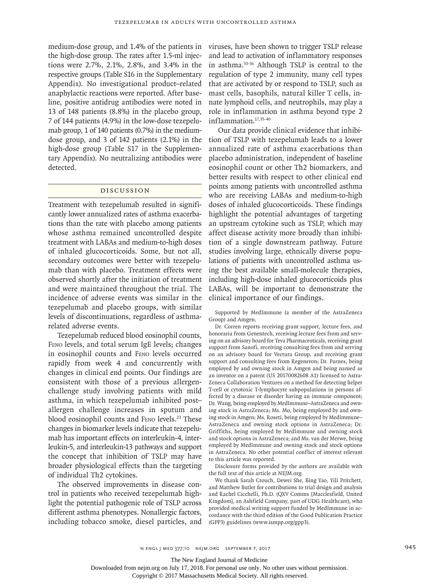medium-dose group, and 1.4% of the patients in the high-dose group. The rates after 1.5-ml injections were 2.7%, 2.1%, 2.8%, and 3.4% in the respective groups (Table S16 in the Supplementary Appendix). No investigational product–related anaphylactic reactions were reported. After baseline, positive antidrug antibodies were noted in 13 of 148 patients (8.8%) in the placebo group, 7 of 144 patients (4.9%) in the low-dose tezepelumab group, 1 of 140 patients (0.7%) in the mediumdose group, and 3 of 142 patients (2.1%) in the high-dose group (Table S17 in the Supplementary Appendix). No neutralizing antibodies were detected.

# Discussion

Treatment with tezepelumab resulted in significantly lower annualized rates of asthma exacerbations than the rate with placebo among patients whose asthma remained uncontrolled despite treatment with LABAs and medium-to-high doses of inhaled glucocorticoids. Some, but not all, secondary outcomes were better with tezepelumab than with placebo. Treatment effects were observed shortly after the initiation of treatment and were maintained throughout the trial. The incidence of adverse events was similar in the tezepelumab and placebo groups, with similar levels of discontinuations, regardless of asthmarelated adverse events.

Tezepelumab reduced blood eosinophil counts, Feno levels, and total serum IgE levels; changes in eosinophil counts and Feno levels occurred rapidly from week 4 and concurrently with changes in clinical end points. Our findings are consistent with those of a previous allergenchallenge study involving patients with mild asthma, in which tezepelumab inhibited post– allergen challenge increases in sputum and blood eosinophil counts and FENO levels.<sup>23</sup> These changes in biomarker levels indicate that tezepelumab has important effects on interleukin-4, interleukin-5, and interleukin-13 pathways and support the concept that inhibition of TSLP may have broader physiological effects than the targeting of individual Th2 cytokines.

The observed improvements in disease control in patients who received tezepelumab highlight the potential pathogenic role of TSLP across different asthma phenotypes. Nonallergic factors, including tobacco smoke, diesel particles, and

viruses, have been shown to trigger TSLP release and lead to activation of inflammatory responses in asthma.33-36 Although TSLP is central to the regulation of type 2 immunity, many cell types that are activated by or respond to TSLP, such as mast cells, basophils, natural killer T cells, innate lymphoid cells, and neutrophils, may play a role in inflammation in asthma beyond type 2 inflammation.17,35-40

Our data provide clinical evidence that inhibition of TSLP with tezepelumab leads to a lower annualized rate of asthma exacerbations than placebo administration, independent of baseline eosinophil count or other Th2 biomarkers, and better results with respect to other clinical end points among patients with uncontrolled asthma who are receiving LABAs and medium-to-high doses of inhaled glucocorticoids. These findings highlight the potential advantages of targeting an upstream cytokine such as TSLP, which may affect disease activity more broadly than inhibition of a single downstream pathway. Future studies involving large, ethnically diverse populations of patients with uncontrolled asthma using the best available small-molecule therapies, including high-dose inhaled glucocorticoids plus LABAs, will be important to demonstrate the clinical importance of our findings.

Supported by MedImmune (a member of the AstraZeneca Group) and Amgen.

Dr. Corren reports receiving grant support, lecture fees, and honoraria from Genentech, receiving lecture fees from and serving on an advisory board for Teva Pharmaceuticals, receiving grant support from Sanofi, receiving consulting fees from and serving on an advisory board for Vectura Group, and receiving grant support and consulting fees from Regeneron; Dr. Parnes, being employed by and owning stock in Amgen and being named as an inventor on a patent (US 20170082608 A1) licensed to Astra-Zeneca Collaboration Ventures on a method for detecting helper T-cell or cytotoxic T-lymphocyte subpopulations in persons affected by a disease or disorder having an immune component; Dr. Wang, being employed by MedImmune–AstraZeneca and owning stock in AstraZeneca; Ms. Mo, being employed by and owning stock in Amgen; Ms. Roseti, being employed by MedImmune– AstraZeneca and owning stock options in AstraZeneca; Dr. Griffiths, being employed by MedImmune and owning stock and stock options in AstraZeneca; and Ms. van der Merwe, being employed by MedImmune and owning stock and stock options in AstraZeneca. No other potential conflict of interest relevant to this article was reported.

Disclosure forms provided by the authors are available with the full text of this article at NEJM.org.

We thank Sarah Crouch, Dewei She, Bing Yao, Yili Pritchett, and Matthew Butler for contributions to trial design and analysis and Rachel Cicchelli, Ph.D. (QXV Comms [Macclesfield, United Kingdom], an Ashfield Company, part of UDG Healthcare), who provided medical writing support funded by MedImmune in accordance with the third edition of the Good Publication Practice (GPP3) guidelines (www.ismpp.org/gpp3).

The New England Journal of Medicine

Downloaded from nejm.org on July 17, 2018. For personal use only. No other uses without permission.